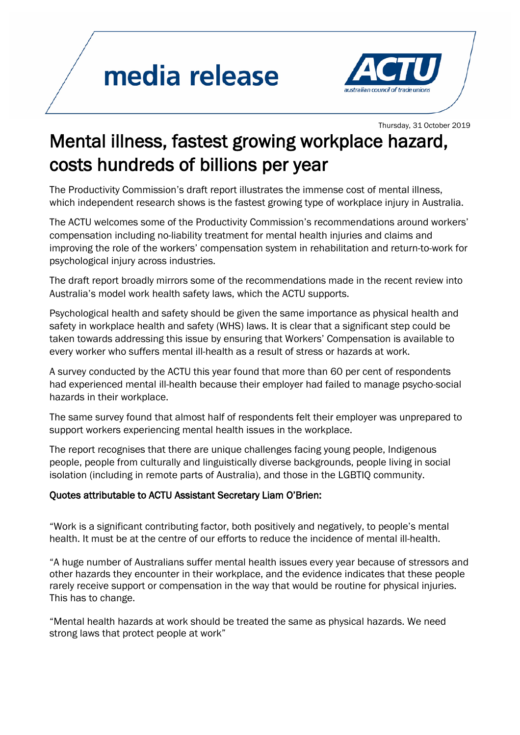## media release



Thursday, 31 October 2019

## Mental illness, fastest growing workplace hazard, costs hundreds of billions per year

The Productivity Commission's draft report illustrates the immense cost of mental illness, which independent research shows is the fastest growing type of workplace injury in Australia.

The ACTU welcomes some of the Productivity Commission's recommendations around workers' compensation including no-liability treatment for mental health injuries and claims and improving the role of the workers' compensation system in rehabilitation and return-to-work for psychological injury across industries.

The draft report broadly mirrors some of the recommendations made in the recent review into Australia's model work health safety laws, which the ACTU supports.

Psychological health and safety should be given the same importance as physical health and safety in workplace health and safety (WHS) laws. It is clear that a significant step could be taken towards addressing this issue by ensuring that Workers' Compensation is available to every worker who suffers mental ill-health as a result of stress or hazards at work.

A survey conducted by the ACTU this year found that more than 60 per cent of respondents had experienced mental ill-health because their employer had failed to manage psycho-social hazards in their workplace.

The same survey found that almost half of respondents felt their employer was unprepared to support workers experiencing mental health issues in the workplace.

The report recognises that there are unique challenges facing young people, Indigenous people, people from culturally and linguistically diverse backgrounds, people living in social isolation (including in remote parts of Australia), and those in the LGBTIQ community.

## Quotes attributable to ACTU Assistant Secretary Liam O'Brien:

"Work is a significant contributing factor, both positively and negatively, to people's mental health. It must be at the centre of our efforts to reduce the incidence of mental ill-health.

"A huge number of Australians suffer mental health issues every year because of stressors and other hazards they encounter in their workplace, and the evidence indicates that these people rarely receive support or compensation in the way that would be routine for physical injuries. This has to change.

"Mental health hazards at work should be treated the same as physical hazards. We need strong laws that protect people at work"